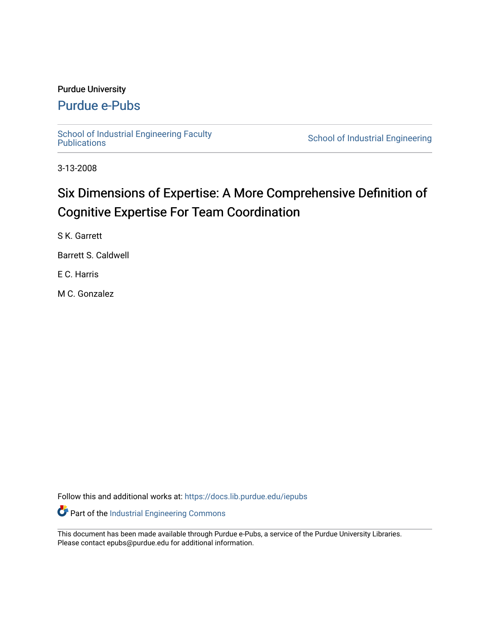#### Purdue University

### [Purdue e-Pubs](https://docs.lib.purdue.edu/)

School of Industrial Engineering Faculty<br>Publications

School of Industrial Engineering

3-13-2008

## Six Dimensions of Expertise: A More Comprehensive Definition of Cognitive Expertise For Team Coordination

S K. Garrett

Barrett S. Caldwell

E C. Harris

M C. Gonzalez

Follow this and additional works at: [https://docs.lib.purdue.edu/iepubs](https://docs.lib.purdue.edu/iepubs?utm_source=docs.lib.purdue.edu%2Fiepubs%2F3&utm_medium=PDF&utm_campaign=PDFCoverPages)

Part of the [Industrial Engineering Commons](http://network.bepress.com/hgg/discipline/307?utm_source=docs.lib.purdue.edu%2Fiepubs%2F3&utm_medium=PDF&utm_campaign=PDFCoverPages)

This document has been made available through Purdue e-Pubs, a service of the Purdue University Libraries. Please contact epubs@purdue.edu for additional information.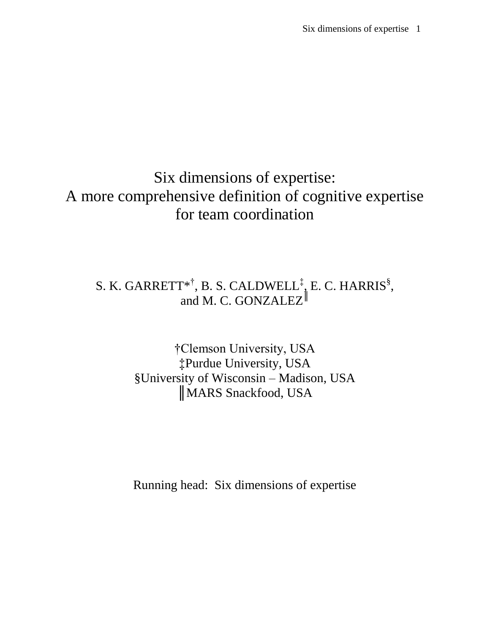## Six dimensions of expertise: A more comprehensive definition of cognitive expertise for team coordination

# S. K. GARRETT\*<sup>†</sup>, B. S. CALDWELL<sup> $\ddagger$ </sup>, E. C. HARRIS<sup>§</sup>, and M. C. GONZALEZ<sup> $\parallel$ </sup>

 §University of Wisconsin – Madison, USA †Clemson University, USA ‡Purdue University, USA ║MARS Snackfood, USA

Running head: Six dimensions of expertise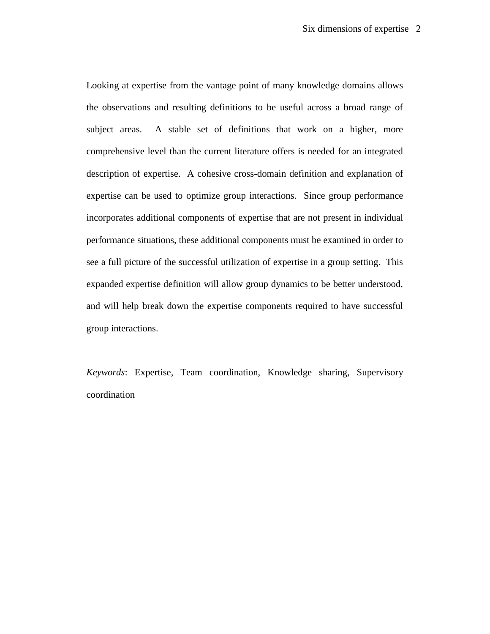Looking at expertise from the vantage point of many knowledge domains allows the observations and resulting definitions to be useful across a broad range of comprehensive level than the current literature offers is needed for an integrated description of expertise. A cohesive cross-domain definition and explanation of expertise can be used to optimize group interactions. Since group performance see a full picture of the successful utilization of expertise in a group setting. This expanded expertise definition will allow group dynamics to be better understood, subject areas. A stable set of definitions that work on a higher, more incorporates additional components of expertise that are not present in individual performance situations, these additional components must be examined in order to and will help break down the expertise components required to have successful group interactions.

*Keywords*: Expertise, Team coordination, Knowledge sharing, Supervisory coordination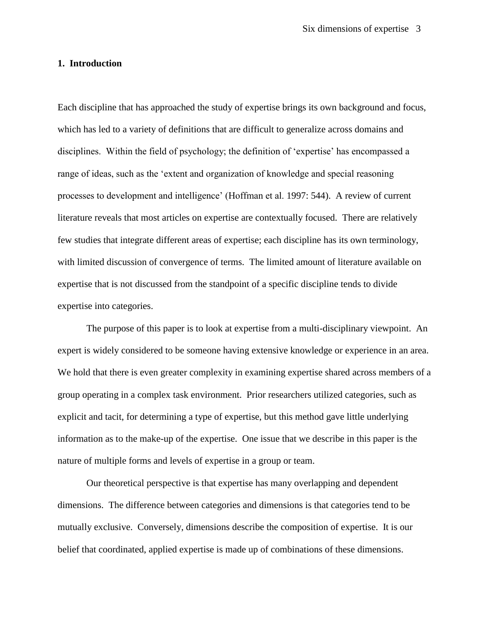#### **1. Introduction**

 literature reveals that most articles on expertise are contextually focused. There are relatively Each discipline that has approached the study of expertise brings its own background and focus, which has led to a variety of definitions that are difficult to generalize across domains and disciplines. Within the field of psychology; the definition of 'expertise' has encompassed a range of ideas, such as the "extent and organization of knowledge and special reasoning processes to development and intelligence" (Hoffman et al. 1997: 544). A review of current few studies that integrate different areas of expertise; each discipline has its own terminology, with limited discussion of convergence of terms. The limited amount of literature available on expertise that is not discussed from the standpoint of a specific discipline tends to divide expertise into categories.

The purpose of this paper is to look at expertise from a multi-disciplinary viewpoint. An expert is widely considered to be someone having extensive knowledge or experience in an area. We hold that there is even greater complexity in examining expertise shared across members of a group operating in a complex task environment. Prior researchers utilized categories, such as explicit and tacit, for determining a type of expertise, but this method gave little underlying information as to the make-up of the expertise. One issue that we describe in this paper is the nature of multiple forms and levels of expertise in a group or team.

Our theoretical perspective is that expertise has many overlapping and dependent dimensions. The difference between categories and dimensions is that categories tend to be mutually exclusive. Conversely, dimensions describe the composition of expertise. It is our belief that coordinated, applied expertise is made up of combinations of these dimensions.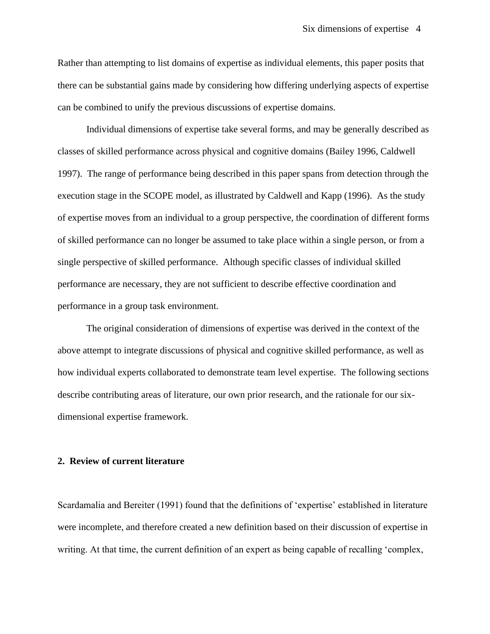Rather than attempting to list domains of expertise as individual elements, this paper posits that there can be substantial gains made by considering how differing underlying aspects of expertise can be combined to unify the previous discussions of expertise domains.

 Individual dimensions of expertise take several forms, and may be generally described as single perspective of skilled performance. Although specific classes of individual skilled classes of skilled performance across physical and cognitive domains (Bailey 1996, Caldwell 1997). The range of performance being described in this paper spans from detection through the execution stage in the SCOPE model, as illustrated by Caldwell and Kapp (1996). As the study of expertise moves from an individual to a group perspective, the coordination of different forms of skilled performance can no longer be assumed to take place within a single person, or from a performance are necessary, they are not sufficient to describe effective coordination and performance in a group task environment.

The original consideration of dimensions of expertise was derived in the context of the above attempt to integrate discussions of physical and cognitive skilled performance, as well as how individual experts collaborated to demonstrate team level expertise. The following sections describe contributing areas of literature, our own prior research, and the rationale for our sixdimensional expertise framework.

#### **2. Review of current literature**

Scardamalia and Bereiter (1991) found that the definitions of "expertise" established in literature were incomplete, and therefore created a new definition based on their discussion of expertise in writing. At that time, the current definition of an expert as being capable of recalling "complex,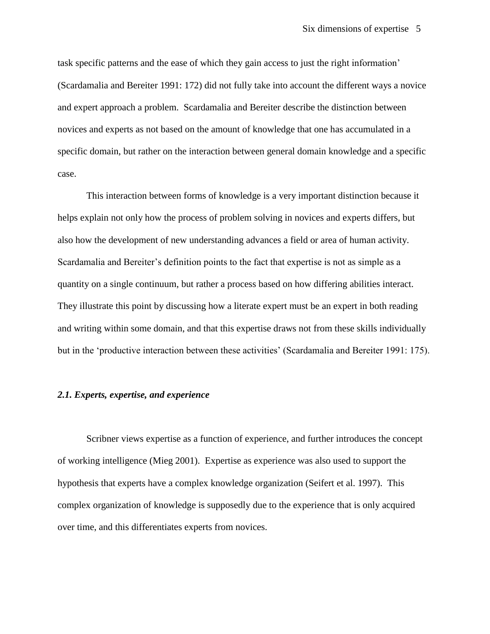task specific patterns and the ease of which they gain access to just the right information" (Scardamalia and Bereiter 1991: 172) did not fully take into account the different ways a novice and expert approach a problem. Scardamalia and Bereiter describe the distinction between novices and experts as not based on the amount of knowledge that one has accumulated in a specific domain, but rather on the interaction between general domain knowledge and a specific case.

This interaction between forms of knowledge is a very important distinction because it helps explain not only how the process of problem solving in novices and experts differs, but also how the development of new understanding advances a field or area of human activity. Scardamalia and Bereiter"s definition points to the fact that expertise is not as simple as a quantity on a single continuum, but rather a process based on how differing abilities interact. They illustrate this point by discussing how a literate expert must be an expert in both reading and writing within some domain, and that this expertise draws not from these skills individually but in the 'productive interaction between these activities' (Scardamalia and Bereiter 1991: 175).

#### *2.1. Experts, expertise, and experience*

Scribner views expertise as a function of experience, and further introduces the concept of working intelligence (Mieg 2001). Expertise as experience was also used to support the hypothesis that experts have a complex knowledge organization (Seifert et al. 1997). This complex organization of knowledge is supposedly due to the experience that is only acquired over time, and this differentiates experts from novices.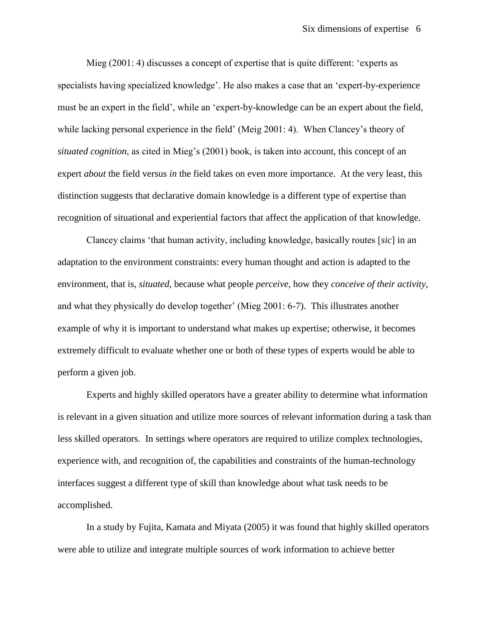Mieg (2001: 4) discusses a concept of expertise that is quite different: "experts as specialists having specialized knowledge'. He also makes a case that an 'expert-by-experience must be an expert in the field", while an "expert-by-knowledge can be an expert about the field, while lacking personal experience in the field' (Meig 2001: 4). When Clancey's theory of *situated cognition*, as cited in Mieg's (2001) book, is taken into account, this concept of an expert *about* the field versus *in* the field takes on even more importance. At the very least, this distinction suggests that declarative domain knowledge is a different type of expertise than recognition of situational and experiential factors that affect the application of that knowledge.

Clancey claims "that human activity, including knowledge, basically routes [*sic*] in an adaptation to the environment constraints: every human thought and action is adapted to the environment, that is, *situated,* because what people *perceive*, how they *conceive of their activity,*  and what they physically do develop together' (Mieg 2001: 6-7). This illustrates another example of why it is important to understand what makes up expertise; otherwise, it becomes extremely difficult to evaluate whether one or both of these types of experts would be able to perform a given job.

Experts and highly skilled operators have a greater ability to determine what information is relevant in a given situation and utilize more sources of relevant information during a task than less skilled operators. In settings where operators are required to utilize complex technologies, experience with, and recognition of, the capabilities and constraints of the human-technology interfaces suggest a different type of skill than knowledge about what task needs to be accomplished.

In a study by Fujita, Kamata and Miyata (2005) it was found that highly skilled operators were able to utilize and integrate multiple sources of work information to achieve better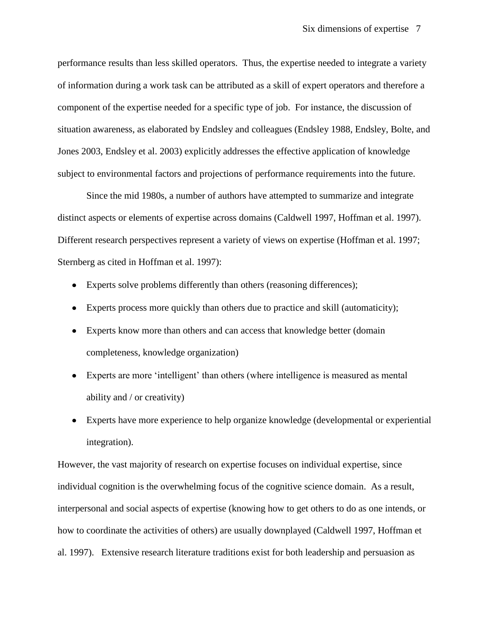Jones 2003, Endsley et al. 2003) explicitly addresses the effective application of knowledge performance results than less skilled operators. Thus, the expertise needed to integrate a variety of information during a work task can be attributed as a skill of expert operators and therefore a component of the expertise needed for a specific type of job. For instance, the discussion of situation awareness, as elaborated by Endsley and colleagues (Endsley 1988, Endsley, Bolte, and subject to environmental factors and projections of performance requirements into the future.

Since the mid 1980s, a number of authors have attempted to summarize and integrate distinct aspects or elements of expertise across domains (Caldwell 1997, Hoffman et al. 1997). Different research perspectives represent a variety of views on expertise (Hoffman et al. 1997; Sternberg as cited in Hoffman et al. 1997):

- Experts solve problems differently than others (reasoning differences);
- Experts process more quickly than others due to practice and skill (automaticity);
- Experts know more than others and can access that knowledge better (domain completeness, knowledge organization)
- Experts are more "intelligent" than others (where intelligence is measured as mental ability and / or creativity)
- Experts have more experience to help organize knowledge (developmental or experiential integration).

However, the vast majority of research on expertise focuses on individual expertise, since individual cognition is the overwhelming focus of the cognitive science domain. As a result, interpersonal and social aspects of expertise (knowing how to get others to do as one intends, or how to coordinate the activities of others) are usually downplayed (Caldwell 1997, Hoffman et al. 1997). Extensive research literature traditions exist for both leadership and persuasion as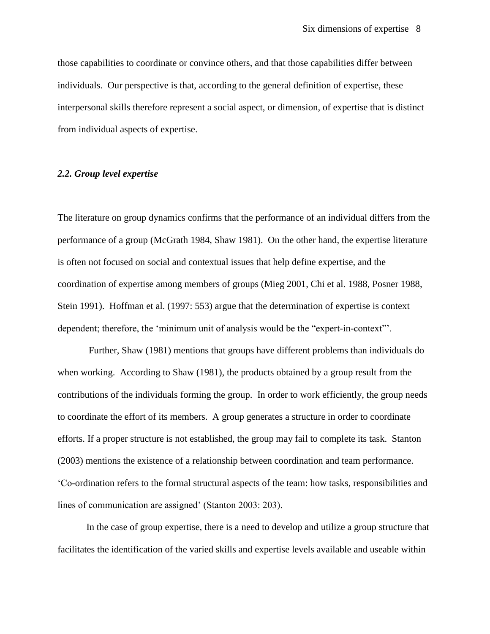those capabilities to coordinate or convince others, and that those capabilities differ between individuals. Our perspective is that, according to the general definition of expertise, these interpersonal skills therefore represent a social aspect, or dimension, of expertise that is distinct from individual aspects of expertise.

#### *2.2. Group level expertise*

The literature on group dynamics confirms that the performance of an individual differs from the performance of a group (McGrath 1984, Shaw 1981). On the other hand, the expertise literature is often not focused on social and contextual issues that help define expertise, and the coordination of expertise among members of groups (Mieg 2001, Chi et al. 1988, Posner 1988, Stein 1991). Hoffman et al. (1997: 553) argue that the determination of expertise is context dependent; therefore, the "minimum unit of analysis would be the "expert-in-context"".

 when working. According to Shaw (1981), the products obtained by a group result from the contributions of the individuals forming the group. In order to work efficiently, the group needs Further, Shaw (1981) mentions that groups have different problems than individuals do to coordinate the effort of its members. A group generates a structure in order to coordinate efforts. If a proper structure is not established, the group may fail to complete its task. Stanton (2003) mentions the existence of a relationship between coordination and team performance. "Co-ordination refers to the formal structural aspects of the team: how tasks, responsibilities and lines of communication are assigned' (Stanton 2003: 203).

In the case of group expertise, there is a need to develop and utilize a group structure that facilitates the identification of the varied skills and expertise levels available and useable within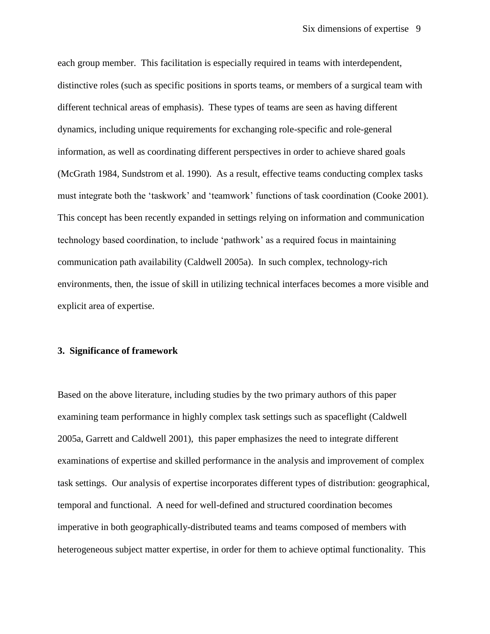each group member. This facilitation is especially required in teams with interdependent, distinctive roles (such as specific positions in sports teams, or members of a surgical team with different technical areas of emphasis). These types of teams are seen as having different dynamics, including unique requirements for exchanging role-specific and role-general information, as well as coordinating different perspectives in order to achieve shared goals (McGrath 1984, Sundstrom et al. 1990). As a result, effective teams conducting complex tasks must integrate both the "taskwork" and "teamwork" functions of task coordination (Cooke 2001). This concept has been recently expanded in settings relying on information and communication technology based coordination, to include "pathwork" as a required focus in maintaining communication path availability (Caldwell 2005a). In such complex, technology-rich environments, then, the issue of skill in utilizing technical interfaces becomes a more visible and explicit area of expertise.

#### **3. Significance of framework**

Based on the above literature, including studies by the two primary authors of this paper examining team performance in highly complex task settings such as spaceflight (Caldwell 2005a, Garrett and Caldwell 2001), this paper emphasizes the need to integrate different examinations of expertise and skilled performance in the analysis and improvement of complex task settings. Our analysis of expertise incorporates different types of distribution: geographical, temporal and functional. A need for well-defined and structured coordination becomes imperative in both geographically-distributed teams and teams composed of members with heterogeneous subject matter expertise, in order for them to achieve optimal functionality. This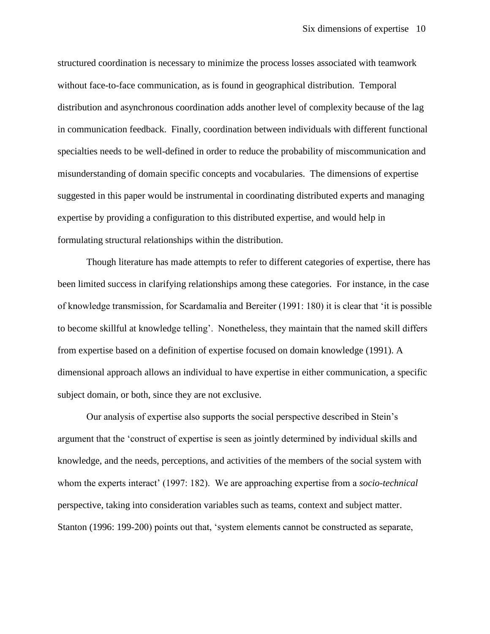structured coordination is necessary to minimize the process losses associated with teamwork without face-to-face communication, as is found in geographical distribution. Temporal distribution and asynchronous coordination adds another level of complexity because of the lag in communication feedback. Finally, coordination between individuals with different functional specialties needs to be well-defined in order to reduce the probability of miscommunication and misunderstanding of domain specific concepts and vocabularies. The dimensions of expertise suggested in this paper would be instrumental in coordinating distributed experts and managing expertise by providing a configuration to this distributed expertise, and would help in formulating structural relationships within the distribution.

Though literature has made attempts to refer to different categories of expertise, there has been limited success in clarifying relationships among these categories. For instance, in the case of knowledge transmission, for Scardamalia and Bereiter (1991: 180) it is clear that "it is possible to become skillful at knowledge telling". Nonetheless, they maintain that the named skill differs from expertise based on a definition of expertise focused on domain knowledge (1991). A dimensional approach allows an individual to have expertise in either communication, a specific subject domain, or both, since they are not exclusive.

Our analysis of expertise also supports the social perspective described in Stein"s argument that the "construct of expertise is seen as jointly determined by individual skills and knowledge, and the needs, perceptions, and activities of the members of the social system with whom the experts interact' (1997: 182). We are approaching expertise from a *socio-technical* perspective, taking into consideration variables such as teams, context and subject matter. Stanton (1996: 199-200) points out that, "system elements cannot be constructed as separate,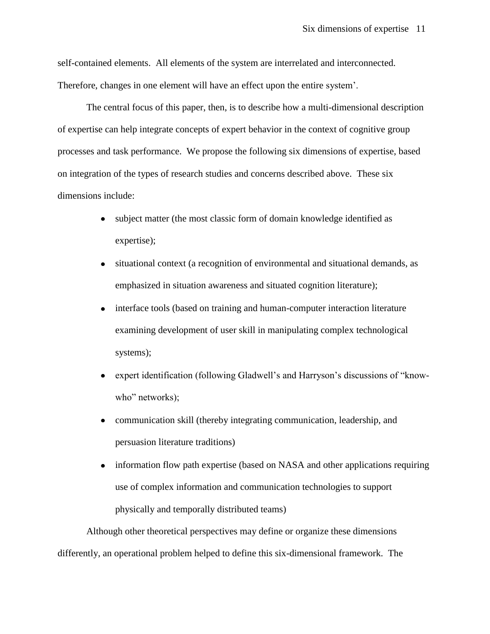Therefore, changes in one element will have an effect upon the entire system". self-contained elements. All elements of the system are interrelated and interconnected.

 on integration of the types of research studies and concerns described above. These six The central focus of this paper, then, is to describe how a multi-dimensional description of expertise can help integrate concepts of expert behavior in the context of cognitive group processes and task performance. We propose the following six dimensions of expertise, based dimensions include:

- subject matter (the most classic form of domain knowledge identified as expertise);
- situational context (a recognition of environmental and situational demands, as emphasized in situation awareness and situated cognition literature);
- interface tools (based on training and human-computer interaction literature examining development of user skill in manipulating complex technological systems);
- expert identification (following Gladwell"s and Harryson"s discussions of "knowwho" networks);
- communication skill (thereby integrating communication, leadership, and persuasion literature traditions)
- information flow path expertise (based on NASA and other applications requiring use of complex information and communication technologies to support physically and temporally distributed teams)

Although other theoretical perspectives may define or organize these dimensions differently, an operational problem helped to define this six-dimensional framework. The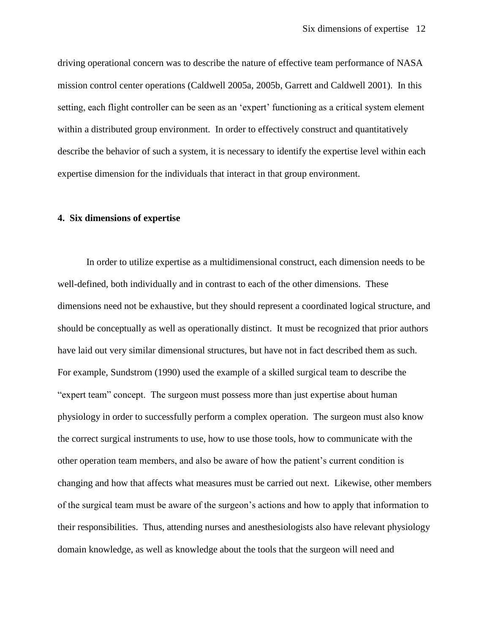driving operational concern was to describe the nature of effective team performance of NASA mission control center operations (Caldwell 2005a, 2005b, Garrett and Caldwell 2001). In this setting, each flight controller can be seen as an "expert" functioning as a critical system element within a distributed group environment. In order to effectively construct and quantitatively describe the behavior of such a system, it is necessary to identify the expertise level within each expertise dimension for the individuals that interact in that group environment.

#### **4. Six dimensions of expertise**

In order to utilize expertise as a multidimensional construct, each dimension needs to be well-defined, both individually and in contrast to each of the other dimensions. These dimensions need not be exhaustive, but they should represent a coordinated logical structure, and should be conceptually as well as operationally distinct. It must be recognized that prior authors have laid out very similar dimensional structures, but have not in fact described them as such. For example, Sundstrom (1990) used the example of a skilled surgical team to describe the "expert team" concept. The surgeon must possess more than just expertise about human physiology in order to successfully perform a complex operation. The surgeon must also know the correct surgical instruments to use, how to use those tools, how to communicate with the other operation team members, and also be aware of how the patient"s current condition is changing and how that affects what measures must be carried out next. Likewise, other members of the surgical team must be aware of the surgeon"s actions and how to apply that information to their responsibilities. Thus, attending nurses and anesthesiologists also have relevant physiology domain knowledge, as well as knowledge about the tools that the surgeon will need and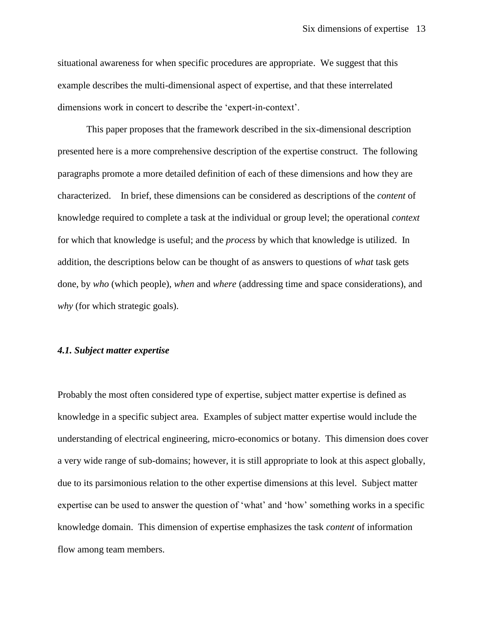situational awareness for when specific procedures are appropriate. We suggest that this example describes the multi-dimensional aspect of expertise, and that these interrelated dimensions work in concert to describe the 'expert-in-context'.

 characterized. In brief, these dimensions can be considered as descriptions of the *content* of done, by *who* (which people), *when* and *where* (addressing time and space considerations), and This paper proposes that the framework described in the six-dimensional description presented here is a more comprehensive description of the expertise construct. The following paragraphs promote a more detailed definition of each of these dimensions and how they are knowledge required to complete a task at the individual or group level; the operational *context*  for which that knowledge is useful; and the *process* by which that knowledge is utilized. In addition, the descriptions below can be thought of as answers to questions of *what* task gets *why* (for which strategic goals).

#### *4.1. Subject matter expertise*

Probably the most often considered type of expertise, subject matter expertise is defined as knowledge in a specific subject area. Examples of subject matter expertise would include the understanding of electrical engineering, micro-economics or botany. This dimension does cover a very wide range of sub-domains; however, it is still appropriate to look at this aspect globally, due to its parsimonious relation to the other expertise dimensions at this level. Subject matter expertise can be used to answer the question of "what" and "how" something works in a specific knowledge domain. This dimension of expertise emphasizes the task *content* of information flow among team members.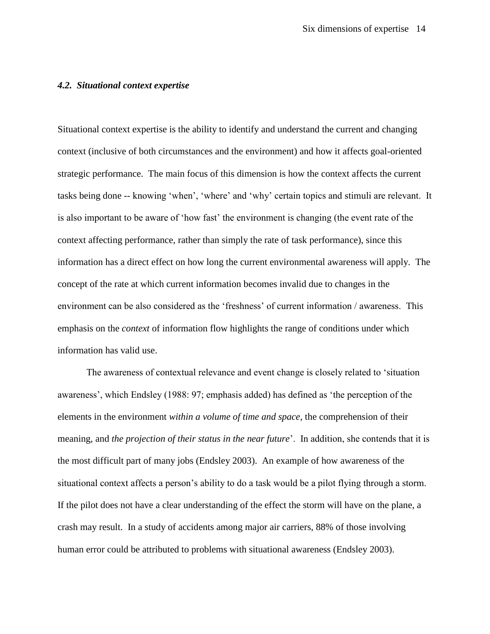#### *4.2. Situational context expertise*

tasks being done -- knowing 'when', 'where' and 'why' certain topics and stimuli are relevant. It information has a direct effect on how long the current environmental awareness will apply. The environment can be also considered as the 'freshness' of current information / awareness. This Situational context expertise is the ability to identify and understand the current and changing context (inclusive of both circumstances and the environment) and how it affects goal-oriented strategic performance. The main focus of this dimension is how the context affects the current is also important to be aware of "how fast" the environment is changing (the event rate of the context affecting performance, rather than simply the rate of task performance), since this concept of the rate at which current information becomes invalid due to changes in the emphasis on the *context* of information flow highlights the range of conditions under which information has valid use.

The awareness of contextual relevance and event change is closely related to "situation awareness", which Endsley (1988: 97; emphasis added) has defined as "the perception of the elements in the environment *within a volume of time and space*, the comprehension of their meaning, and *the projection of their status in the near future*". In addition, she contends that it is the most difficult part of many jobs (Endsley 2003). An example of how awareness of the situational context affects a person"s ability to do a task would be a pilot flying through a storm. If the pilot does not have a clear understanding of the effect the storm will have on the plane, a crash may result. In a study of accidents among major air carriers, 88% of those involving human error could be attributed to problems with situational awareness (Endsley 2003).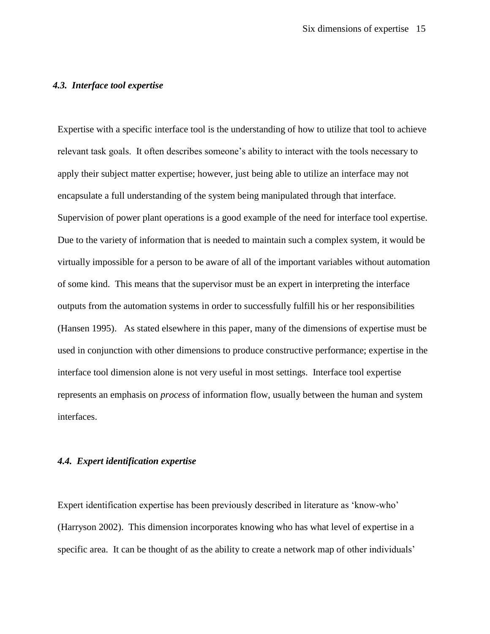#### *4.3. Interface tool expertise*

Expertise with a specific interface tool is the understanding of how to utilize that tool to achieve relevant task goals. It often describes someone"s ability to interact with the tools necessary to apply their subject matter expertise; however, just being able to utilize an interface may not encapsulate a full understanding of the system being manipulated through that interface. Supervision of power plant operations is a good example of the need for interface tool expertise. Due to the variety of information that is needed to maintain such a complex system, it would be virtually impossible for a person to be aware of all of the important variables without automation of some kind. This means that the supervisor must be an expert in interpreting the interface outputs from the automation systems in order to successfully fulfill his or her responsibilities (Hansen 1995). As stated elsewhere in this paper, many of the dimensions of expertise must be used in conjunction with other dimensions to produce constructive performance; expertise in the interface tool dimension alone is not very useful in most settings. Interface tool expertise represents an emphasis on *process* of information flow, usually between the human and system interfaces.

#### *4.4. Expert identification expertise*

Expert identification expertise has been previously described in literature as "know-who" (Harryson 2002). This dimension incorporates knowing who has what level of expertise in a specific area. It can be thought of as the ability to create a network map of other individuals'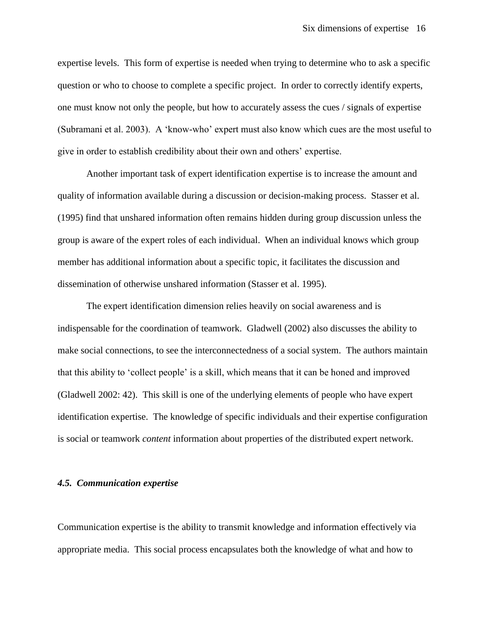expertise levels. This form of expertise is needed when trying to determine who to ask a specific question or who to choose to complete a specific project. In order to correctly identify experts, one must know not only the people, but how to accurately assess the cues / signals of expertise (Subramani et al. 2003). A "know-who" expert must also know which cues are the most useful to give in order to establish credibility about their own and others" expertise.

Another important task of expert identification expertise is to increase the amount and quality of information available during a discussion or decision-making process. Stasser et al. (1995) find that unshared information often remains hidden during group discussion unless the group is aware of the expert roles of each individual. When an individual knows which group member has additional information about a specific topic, it facilitates the discussion and dissemination of otherwise unshared information (Stasser et al. 1995).

The expert identification dimension relies heavily on social awareness and is indispensable for the coordination of teamwork. Gladwell (2002) also discusses the ability to make social connections, to see the interconnectedness of a social system. The authors maintain that this ability to "collect people" is a skill, which means that it can be honed and improved (Gladwell 2002: 42). This skill is one of the underlying elements of people who have expert identification expertise. The knowledge of specific individuals and their expertise configuration is social or teamwork *content* information about properties of the distributed expert network.

#### *4.5. Communication expertise*

Communication expertise is the ability to transmit knowledge and information effectively via appropriate media. This social process encapsulates both the knowledge of what and how to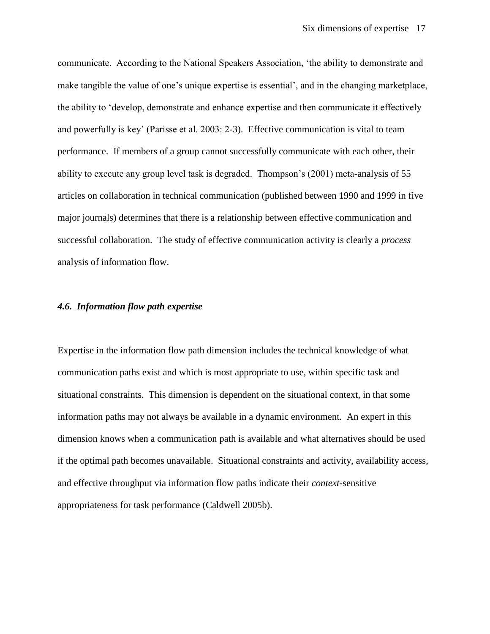successful collaboration. The study of effective communication activity is clearly a *process*  communicate. According to the National Speakers Association, "the ability to demonstrate and make tangible the value of one"s unique expertise is essential", and in the changing marketplace, the ability to "develop, demonstrate and enhance expertise and then communicate it effectively and powerfully is key" (Parisse et al. 2003: 2-3). Effective communication is vital to team performance. If members of a group cannot successfully communicate with each other, their ability to execute any group level task is degraded. Thompson"s (2001) meta-analysis of 55 articles on collaboration in technical communication (published between 1990 and 1999 in five major journals) determines that there is a relationship between effective communication and analysis of information flow.

#### *4.6. Information flow path expertise*

Expertise in the information flow path dimension includes the technical knowledge of what communication paths exist and which is most appropriate to use, within specific task and situational constraints. This dimension is dependent on the situational context, in that some information paths may not always be available in a dynamic environment. An expert in this dimension knows when a communication path is available and what alternatives should be used if the optimal path becomes unavailable. Situational constraints and activity, availability access, and effective throughput via information flow paths indicate their *context*-sensitive appropriateness for task performance (Caldwell 2005b).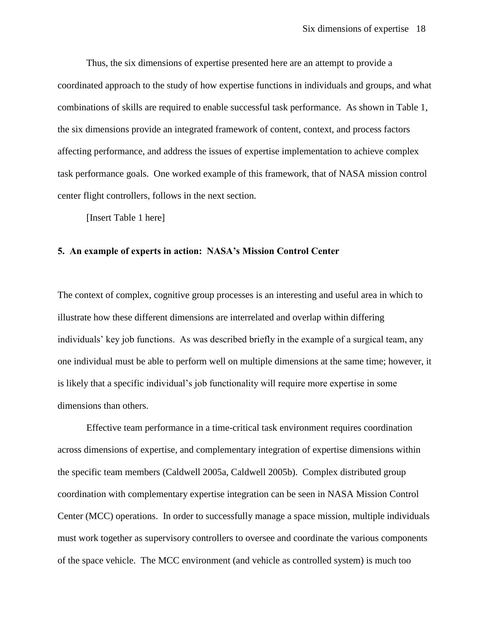affecting performance, and address the issues of expertise implementation to achieve complex Thus, the six dimensions of expertise presented here are an attempt to provide a coordinated approach to the study of how expertise functions in individuals and groups, and what combinations of skills are required to enable successful task performance. As shown in Table 1, the six dimensions provide an integrated framework of content, context, and process factors task performance goals. One worked example of this framework, that of NASA mission control center flight controllers, follows in the next section.

[Insert Table 1 here]

#### **5. An example of experts in action: NASA's Mission Control Center**

The context of complex, cognitive group processes is an interesting and useful area in which to illustrate how these different dimensions are interrelated and overlap within differing individuals" key job functions. As was described briefly in the example of a surgical team, any one individual must be able to perform well on multiple dimensions at the same time; however, it is likely that a specific individual"s job functionality will require more expertise in some dimensions than others.

Effective team performance in a time-critical task environment requires coordination across dimensions of expertise, and complementary integration of expertise dimensions within the specific team members (Caldwell 2005a, Caldwell 2005b). Complex distributed group coordination with complementary expertise integration can be seen in NASA Mission Control Center (MCC) operations. In order to successfully manage a space mission, multiple individuals must work together as supervisory controllers to oversee and coordinate the various components of the space vehicle. The MCC environment (and vehicle as controlled system) is much too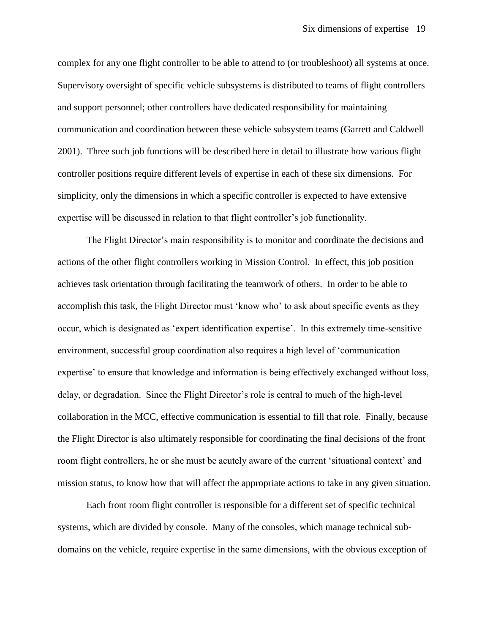and support personnel; other controllers have dedicated responsibility for maintaining complex for any one flight controller to be able to attend to (or troubleshoot) all systems at once. Supervisory oversight of specific vehicle subsystems is distributed to teams of flight controllers communication and coordination between these vehicle subsystem teams (Garrett and Caldwell 2001). Three such job functions will be described here in detail to illustrate how various flight controller positions require different levels of expertise in each of these six dimensions. For simplicity, only the dimensions in which a specific controller is expected to have extensive expertise will be discussed in relation to that flight controller"s job functionality.

room flight controllers, he or she must be acutely aware of the current 'situational context' and The Flight Director"s main responsibility is to monitor and coordinate the decisions and actions of the other flight controllers working in Mission Control. In effect, this job position achieves task orientation through facilitating the teamwork of others. In order to be able to accomplish this task, the Flight Director must "know who" to ask about specific events as they occur, which is designated as "expert identification expertise". In this extremely time-sensitive environment, successful group coordination also requires a high level of "communication expertise' to ensure that knowledge and information is being effectively exchanged without loss, delay, or degradation. Since the Flight Director"s role is central to much of the high-level collaboration in the MCC, effective communication is essential to fill that role. Finally, because the Flight Director is also ultimately responsible for coordinating the final decisions of the front mission status, to know how that will affect the appropriate actions to take in any given situation.

Each front room flight controller is responsible for a different set of specific technical systems, which are divided by console. Many of the consoles, which manage technical subdomains on the vehicle, require expertise in the same dimensions, with the obvious exception of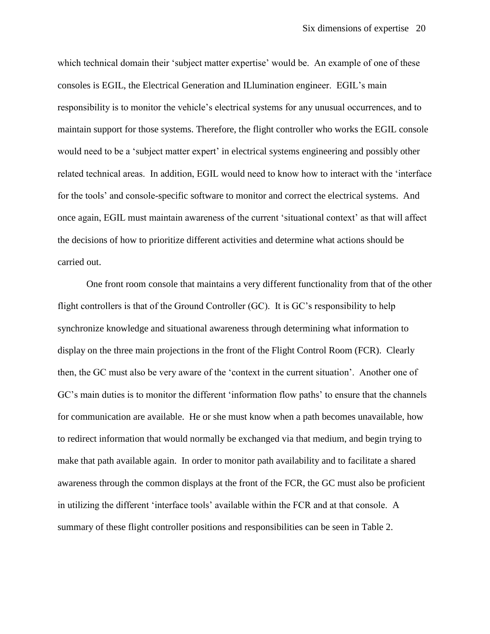maintain support for those systems. Therefore, the flight controller who works the EGIL console which technical domain their 'subject matter expertise' would be. An example of one of these consoles is EGIL, the Electrical Generation and ILlumination engineer. EGIL"s main responsibility is to monitor the vehicle"s electrical systems for any unusual occurrences, and to would need to be a 'subject matter expert' in electrical systems engineering and possibly other related technical areas. In addition, EGIL would need to know how to interact with the "interface for the tools" and console-specific software to monitor and correct the electrical systems. And once again, EGIL must maintain awareness of the current "situational context" as that will affect the decisions of how to prioritize different activities and determine what actions should be carried out.

 in utilizing the different "interface tools" available within the FCR and at that console. A One front room console that maintains a very different functionality from that of the other flight controllers is that of the Ground Controller (GC). It is GC"s responsibility to help synchronize knowledge and situational awareness through determining what information to display on the three main projections in the front of the Flight Control Room (FCR). Clearly then, the GC must also be very aware of the "context in the current situation". Another one of GC"s main duties is to monitor the different "information flow paths" to ensure that the channels for communication are available. He or she must know when a path becomes unavailable, how to redirect information that would normally be exchanged via that medium, and begin trying to make that path available again. In order to monitor path availability and to facilitate a shared awareness through the common displays at the front of the FCR, the GC must also be proficient summary of these flight controller positions and responsibilities can be seen in Table 2.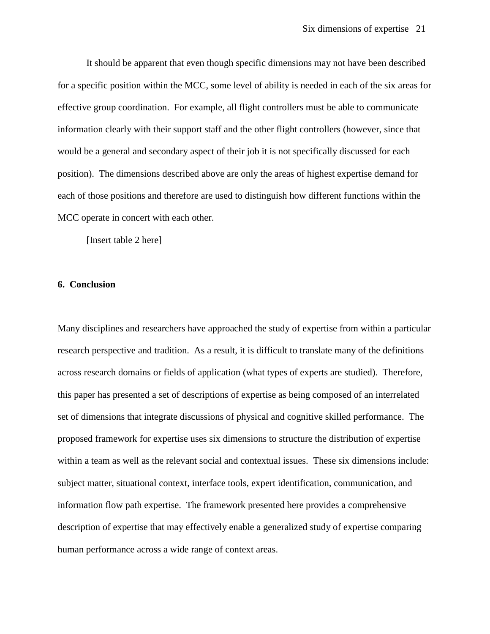It should be apparent that even though specific dimensions may not have been described for a specific position within the MCC, some level of ability is needed in each of the six areas for effective group coordination. For example, all flight controllers must be able to communicate information clearly with their support staff and the other flight controllers (however, since that would be a general and secondary aspect of their job it is not specifically discussed for each position). The dimensions described above are only the areas of highest expertise demand for each of those positions and therefore are used to distinguish how different functions within the MCC operate in concert with each other.

[Insert table 2 here]

#### **6. Conclusion**

Many disciplines and researchers have approached the study of expertise from within a particular research perspective and tradition. As a result, it is difficult to translate many of the definitions across research domains or fields of application (what types of experts are studied). Therefore, this paper has presented a set of descriptions of expertise as being composed of an interrelated set of dimensions that integrate discussions of physical and cognitive skilled performance. The proposed framework for expertise uses six dimensions to structure the distribution of expertise within a team as well as the relevant social and contextual issues. These six dimensions include: subject matter, situational context, interface tools, expert identification, communication, and information flow path expertise. The framework presented here provides a comprehensive description of expertise that may effectively enable a generalized study of expertise comparing human performance across a wide range of context areas.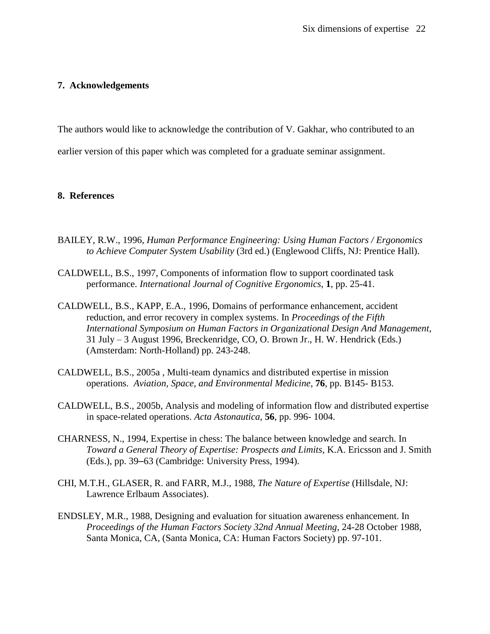#### **7. Acknowledgements**

The authors would like to acknowledge the contribution of V. Gakhar, who contributed to an

earlier version of this paper which was completed for a graduate seminar assignment.

#### **8. References**

- BAILEY, R.W., 1996, *Human Performance Engineering: Using Human Factors / Ergonomics to Achieve Computer System Usability* (3rd ed.) (Englewood Cliffs, NJ: Prentice Hall).
- CALDWELL, B.S., 1997, Components of information flow to support coordinated task performance. *International Journal of Cognitive Ergonomics*, **1**, pp. 25-41.
- 31 July 3 August 1996, Breckenridge, CO, O. Brown Jr., H. W. Hendrick (Eds.) CALDWELL, B.S., KAPP, E.A., 1996, Domains of performance enhancement, accident reduction, and error recovery in complex systems. In *Proceedings of the Fifth International Symposium on Human Factors in Organizational Design And Management*, (Amsterdam: North-Holland) pp. 243-248.
- operations. *Aviation, Space, and Environmental Medicine*, **76**, pp. B145- B153. CALDWELL, B.S., 2005a , Multi-team dynamics and distributed expertise in mission
- in space-related operations. *Acta Astonautica*, **56**, pp. 996- 1004. CALDWELL, B.S., 2005b, Analysis and modeling of information flow and distributed expertise
- CHARNESS, N., 1994, Expertise in chess: The balance between knowledge and search. In *Toward a General Theory of Expertise: Prospects and Limits*, K.A. Ericsson and J. Smith (Eds.), pp. 39–63 (Cambridge: University Press, 1994).
- CHI, M.T.H., GLASER, R. and FARR, M.J., 1988, *The Nature of Expertise* (Hillsdale, NJ: Lawrence Erlbaum Associates).
- ENDSLEY, M.R., 1988, Designing and evaluation for situation awareness enhancement. In *Proceedings of the Human Factors Society 32nd Annual Meeting*, 24-28 October 1988, Santa Monica, CA, (Santa Monica, CA: Human Factors Society) pp. 97-101.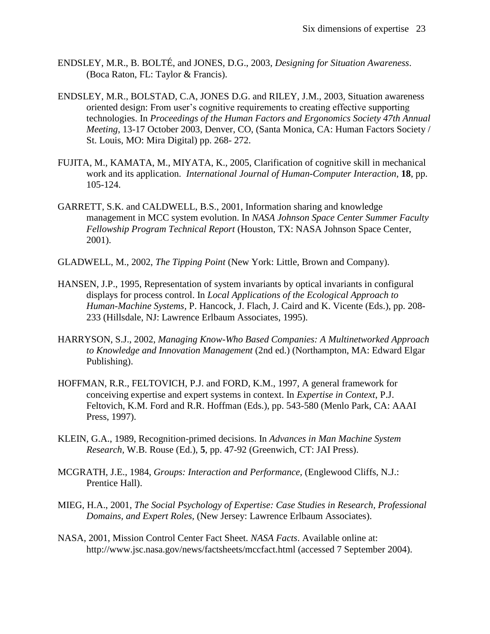- ENDSLEY, M.R., B. BOLTÉ, and JONES, D.G., 2003, *Designing for Situation Awareness*. (Boca Raton, FL: Taylor & Francis).
- ENDSLEY, M.R., BOLSTAD, C.A, JONES D.G. and RILEY, J.M., 2003, Situation awareness St. Louis, MO: Mira Digital) pp. 268- 272. oriented design: From user"s cognitive requirements to creating effective supporting technologies. In *Proceedings of the Human Factors and Ergonomics Society 47th Annual Meeting*, 13-17 October 2003, Denver, CO, (Santa Monica, CA: Human Factors Society /
- FUJITA, M., KAMATA, M., MIYATA, K., 2005, Clarification of cognitive skill in mechanical work and its application. *International Journal of Human-Computer Interaction*, **18**, pp. 105-124.
- GARRETT, S.K. and CALDWELL, B.S., 2001, Information sharing and knowledge management in MCC system evolution. In *NASA Johnson Space Center Summer Faculty Fellowship Program Technical Report* (Houston, TX: NASA Johnson Space Center, 2001).
- GLADWELL, M., 2002, *The Tipping Point* (New York: Little, Brown and Company).
- HANSEN, J.P., 1995, Representation of system invariants by optical invariants in configural displays for process control. In *Local Applications of the Ecological Approach to Human-Machine Systems,* P. Hancock, J. Flach, J. Caird and K. Vicente (Eds.), pp. 208- 233 (Hillsdale, NJ: Lawrence Erlbaum Associates, 1995).
- HARRYSON, S.J., 2002, *Managing Know-Who Based Companies: A Multinetworked Approach to Knowledge and Innovation Management* (2nd ed.) (Northampton, MA: Edward Elgar Publishing).
- HOFFMAN, R.R., FELTOVICH, P.J. and FORD, K.M., 1997, A general framework for conceiving expertise and expert systems in context. In *Expertise in Context*, P.J. Feltovich, K.M. Ford and R.R. Hoffman (Eds.), pp. 543-580 (Menlo Park, CA: AAAI Press, 1997).
- *Research,* W.B. Rouse (Ed.), **5**, pp. 47-92 (Greenwich, CT: JAI Press). KLEIN, G.A., 1989, Recognition-primed decisions. In *Advances in Man Machine System*
- MCGRATH, J.E., 1984, *Groups: Interaction and Performance,* (Englewood Cliffs, N.J.: Prentice Hall).
- MIEG, H.A., 2001, *The Social Psychology of Expertise: Case Studies in Research, Professional Domains, and Expert Roles,* (New Jersey: Lawrence Erlbaum Associates).
- NASA, 2001, Mission Control Center Fact Sheet. *NASA Facts*. Available online at: <http://www.jsc.nasa.gov/news/factsheets/mccfact.html> (accessed 7 September 2004).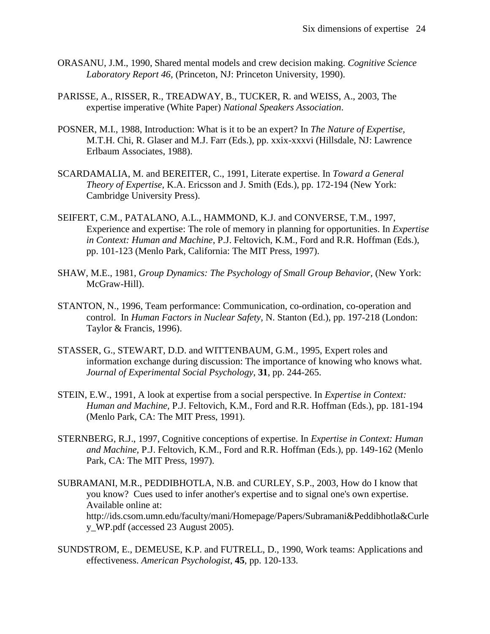- ORASANU, J.M., 1990, Shared mental models and crew decision making. *Cognitive Science Laboratory Report 46,* (Princeton, NJ: Princeton University, 1990).
- PARISSE, A., RISSER, R., TREADWAY, B., TUCKER, R. and WEISS, A., 2003, The expertise imperative (White Paper) *National Speakers Association*.
- POSNER, M.I., 1988, Introduction: What is it to be an expert? In *The Nature of Expertise,*  M.T.H. Chi, R. Glaser and M.J. Farr (Eds.), pp. xxix-xxxvi (Hillsdale, NJ: Lawrence Erlbaum Associates, 1988).
- SCARDAMALIA, M. and BEREITER, C., 1991, Literate expertise. In *Toward a General Theory of Expertise,* K.A. Ericsson and J. Smith (Eds.), pp. 172-194 (New York: Cambridge University Press).
- SEIFERT, C.M., PATALANO, A.L., HAMMOND, K.J. and CONVERSE, T.M., 1997, Experience and expertise: The role of memory in planning for opportunities. In *Expertise in Context: Human and Machine*, P.J. Feltovich, K.M., Ford and R.R. Hoffman (Eds.), pp. 101-123 (Menlo Park, California: The MIT Press, 1997).
- SHAW, M.E., 1981, *Group Dynamics: The Psychology of Small Group Behavior*, (New York: McGraw-Hill).
- STANTON, N., 1996, Team performance: Communication, co-ordination, co-operation and control. In *Human Factors in Nuclear Safety,* N. Stanton (Ed.), pp. 197-218 (London: Taylor & Francis, 1996).
- STASSER, G., STEWART, D.D. and WITTENBAUM, G.M., 1995, Expert roles and information exchange during discussion: The importance of knowing who knows what. *Journal of Experimental Social Psychology*, **31**, pp. 244-265.
- STEIN, E.W., 1991, A look at expertise from a social perspective. In *Expertise in Context: Human and Machine,* P.J. Feltovich, K.M., Ford and R.R. Hoffman (Eds.), pp. 181-194 (Menlo Park, CA: The MIT Press, 1991).
- STERNBERG, R.J., 1997, Cognitive conceptions of expertise. In *Expertise in Context: Human and Machine,* P.J. Feltovich, K.M., Ford and R.R. Hoffman (Eds.), pp. 149-162 (Menlo Park, CA: The MIT Press, 1997).
- Available online at: SUBRAMANI, M.R., PEDDIBHOTLA, N.B. and CURLEY, S.P., 2003, How do I know that you know? Cues used to infer another's expertise and to signal one's own expertise. <http://ids.csom.umn.edu/faculty/mani/Homepage/Papers/Subramani&Peddibhotla&Curle> y\_WP.pdf (accessed 23 August 2005).
- SUNDSTROM, E., DEMEUSE, K.P. and FUTRELL, D., 1990, Work teams: Applications and effectiveness. *American Psychologist*, **45**, pp. 120-133.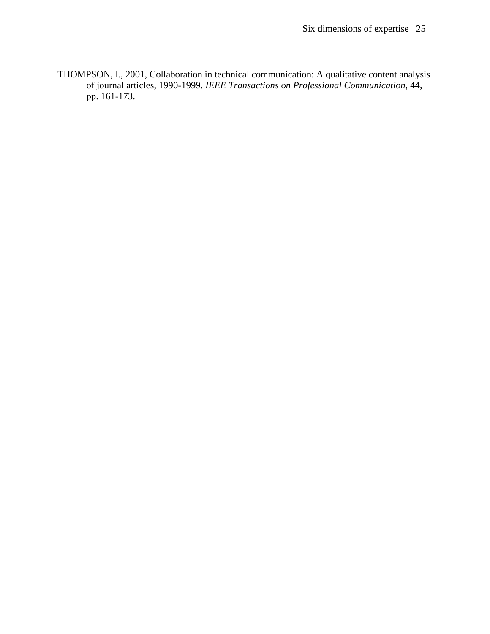THOMPSON, I., 2001, Collaboration in technical communication: A qualitative content analysis of journal articles, 1990-1999. *IEEE Transactions on Professional Communication*, **44**, pp. 161-173.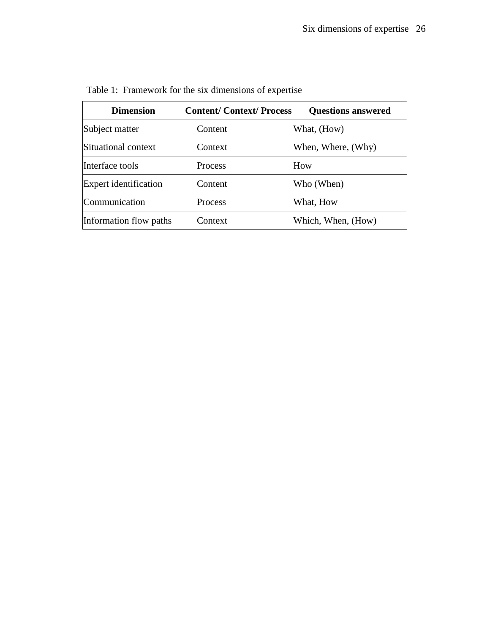| <b>Dimension</b>       | <b>Content/Context/Process</b> | <b>Questions answered</b> |
|------------------------|--------------------------------|---------------------------|
| Subject matter         | Content                        | What, (How)               |
| Situational context    | Context                        | When, Where, (Why)        |
| Interface tools        | Process                        | How                       |
| Expert identification  | Content                        | Who (When)                |
| Communication          | Process                        | What, How                 |
| Information flow paths | Context                        | Which, When, (How)        |

Table 1: Framework for the six dimensions of expertise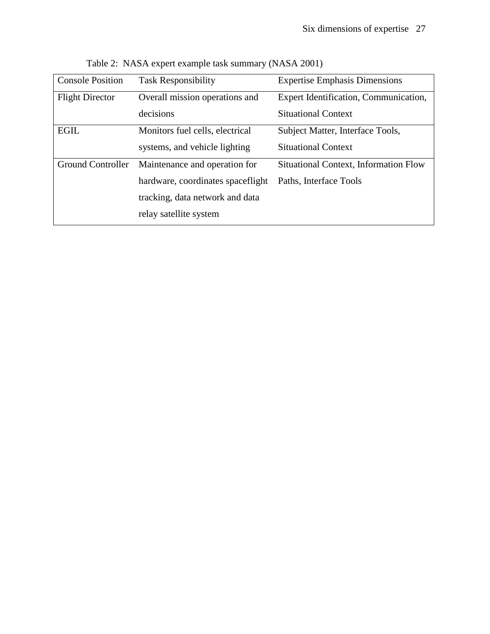| <b>Console Position</b>  | <b>Task Responsibility</b>        | <b>Expertise Emphasis Dimensions</b>  |
|--------------------------|-----------------------------------|---------------------------------------|
| <b>Flight Director</b>   | Overall mission operations and    | Expert Identification, Communication, |
|                          | decisions                         | <b>Situational Context</b>            |
| <b>EGIL</b>              | Monitors fuel cells, electrical   | Subject Matter, Interface Tools,      |
|                          | systems, and vehicle lighting     | <b>Situational Context</b>            |
| <b>Ground Controller</b> | Maintenance and operation for     | Situational Context, Information Flow |
|                          | hardware, coordinates spaceflight | Paths, Interface Tools                |
|                          | tracking, data network and data   |                                       |
|                          | relay satellite system            |                                       |

Table 2: NASA expert example task summary (NASA 2001)